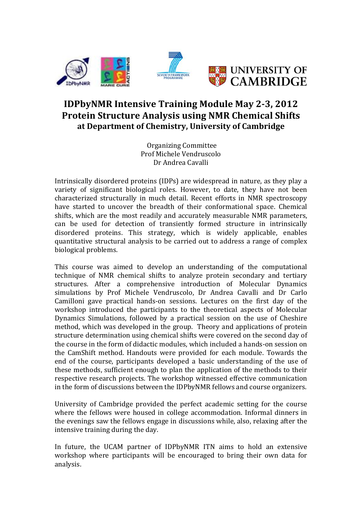

# **IDPbyNMR Intensive Training Module May 2-3, 2012 Protein Structure Analysis using NMR Chemical Shifts at Department of Chemistry, University of Cambridge**

Organizing Committee Prof Michele Vendruscolo Dr Andrea Cavalli

Intrinsically disordered proteins (IDPs) are widespread in nature, as they play a variety of significant biological roles. However, to date, they have not been characterized structurally in much detail. Recent efforts in NMR spectroscopy have started to uncover the breadth of their conformational space. Chemical shifts, which are the most readily and accurately measurable NMR parameters, can be used for detection of transiently formed structure in intrinsically disordered proteins. This strategy, which is widely applicable, enables quantitative structural analysis to be carried out to address a range of complex biological problems.

This course was aimed to develop an understanding of the computational technique of NMR chemical shifts to analyze protein secondary and tertiary structures. After a comprehensive introduction of Molecular Dynamics simulations by Prof Michele Vendruscolo, Dr Andrea Cavalli and Dr Carlo Camilloni gave practical hands-on sessions. Lectures on the first day of the workshop introduced the participants to the theoretical aspects of Molecular Dynamics Simulations, followed by a practical session on the use of Cheshire method, which was developed in the group. Theory and applications of protein structure determination using chemical shifts were covered on the second day of the course in the form of didactic modules, which included a hands-on session on the CamShift method. Handouts were provided for each module. Towards the end of the course, participants developed a basic understanding of the use of these methods, sufficient enough to plan the application of the methods to their respective research projects. The workshop witnessed effective communication in the form of discussions between the IDPbyNMR fellows and course organizers.

University of Cambridge provided the perfect academic setting for the course where the fellows were housed in college accommodation. Informal dinners in the evenings saw the fellows engage in discussions while, also, relaxing after the intensive training during the day.

In future, the UCAM partner of IDPbyNMR ITN aims to hold an extensive workshop where participants will be encouraged to bring their own data for analysis.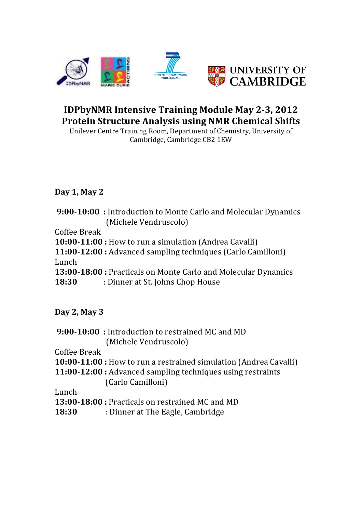

# **IDPbyNMR Intensive Training Module May 2-3, 2012 Protein Structure Analysis using NMR Chemical Shifts**

Unilever Centre Training Room, Department of Chemistry, University of Cambridge, Cambridge CB2 1EW

#### **Day 1, May 2**

|              | <b>9:00-10:00</b> : Introduction to Monte Carlo and Molecular Dynamics |
|--------------|------------------------------------------------------------------------|
|              | (Michele Vendruscolo)                                                  |
| Coffee Break |                                                                        |
|              | <b>10:00-11:00</b> : How to run a simulation (Andrea Cavalli)          |
|              | 11:00-12:00 : Advanced sampling techniques (Carlo Camilloni)           |
| Lunch        |                                                                        |
|              | 13:00-18:00 : Practicals on Monte Carlo and Molecular Dynamics         |
| 18:30        | : Dinner at St. Johns Chop House                                       |

**Day 2, May 3**

**9:00-10:00** : Introduction to restrained MC and MD (Michele Vendruscolo)

Coffee Break

- **10:00-11:00** : How to run a restrained simulation (Andrea Cavalli)
- **11:00-12:00** : Advanced sampling techniques using restraints (Carlo Camilloni)

Lunch

- **13:00-18:00**: Practicals on restrained MC and MD
- **18:30** : Dinner at The Eagle, Cambridge